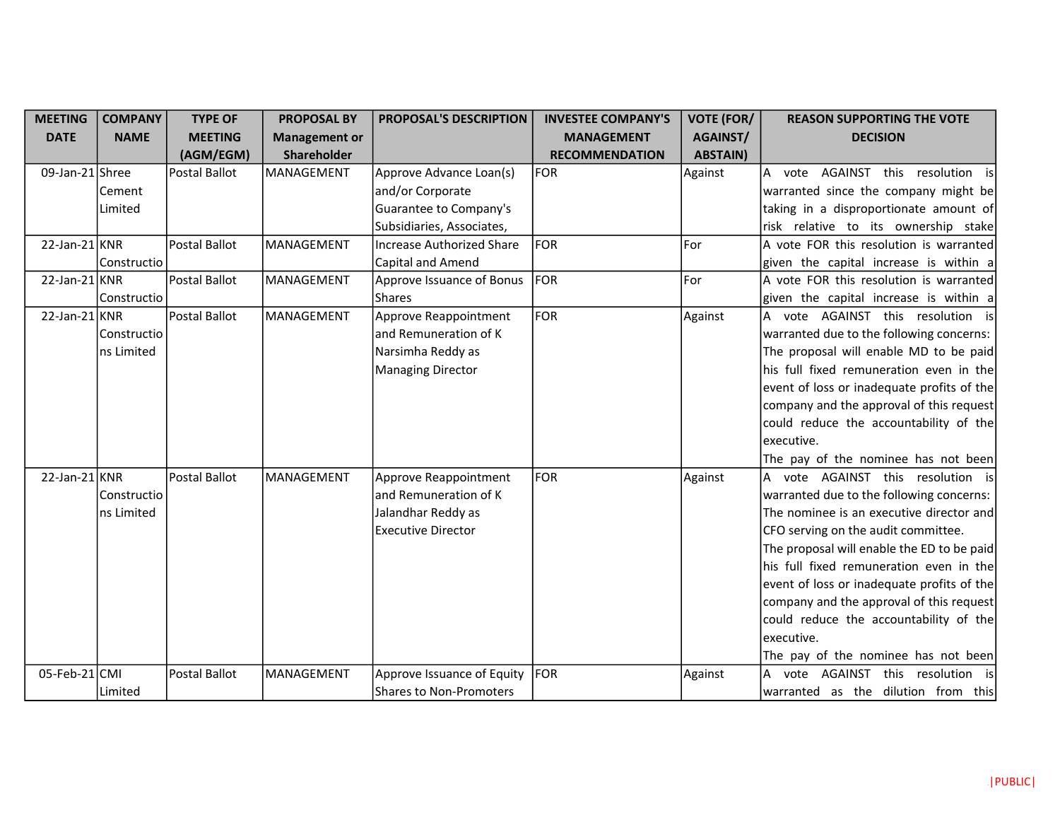| <b>MEETING</b>   | <b>COMPANY</b> | <b>TYPE OF</b> | <b>PROPOSAL BY</b>   | <b>PROPOSAL'S DESCRIPTION</b>    | <b>INVESTEE COMPANY'S</b> | <b>VOTE (FOR/</b> | <b>REASON SUPPORTING THE VOTE</b>          |
|------------------|----------------|----------------|----------------------|----------------------------------|---------------------------|-------------------|--------------------------------------------|
| <b>DATE</b>      | <b>NAME</b>    | <b>MEETING</b> | <b>Management or</b> |                                  | <b>MANAGEMENT</b>         | AGAINST/          | <b>DECISION</b>                            |
|                  |                | (AGM/EGM)      | Shareholder          |                                  | <b>RECOMMENDATION</b>     | <b>ABSTAIN)</b>   |                                            |
| 09-Jan-21 Shree  |                | Postal Ballot  | MANAGEMENT           | Approve Advance Loan(s)          | FOR                       | Against           | vote AGAINST this resolution is<br>A       |
|                  | Cement         |                |                      | and/or Corporate                 |                           |                   | warranted since the company might be       |
|                  | Limited        |                |                      | Guarantee to Company's           |                           |                   | taking in a disproportionate amount of     |
|                  |                |                |                      | Subsidiaries, Associates,        |                           |                   | risk relative to its ownership stake       |
| $22$ -Jan-21 KNR |                | Postal Ballot  | <b>MANAGEMENT</b>    | <b>Increase Authorized Share</b> | FOR                       | For               | A vote FOR this resolution is warranted    |
|                  | Constructio    |                |                      | Capital and Amend                |                           |                   | given the capital increase is within a     |
| $22$ -Jan-21 KNR |                | Postal Ballot  | <b>MANAGEMENT</b>    | Approve Issuance of Bonus        | FOR                       | For               | A vote FOR this resolution is warranted    |
|                  | Constructio    |                |                      | <b>Shares</b>                    |                           |                   | given the capital increase is within a     |
| $22$ -Jan-21 KNR |                | Postal Ballot  | MANAGEMENT           | Approve Reappointment            | FOR                       | Against           | A vote AGAINST this resolution is          |
|                  | Constructio    |                |                      | and Remuneration of K            |                           |                   | warranted due to the following concerns:   |
|                  | ns Limited     |                |                      | Narsimha Reddy as                |                           |                   | The proposal will enable MD to be paid     |
|                  |                |                |                      | <b>Managing Director</b>         |                           |                   | his full fixed remuneration even in the    |
|                  |                |                |                      |                                  |                           |                   | event of loss or inadequate profits of the |
|                  |                |                |                      |                                  |                           |                   | company and the approval of this request   |
|                  |                |                |                      |                                  |                           |                   | could reduce the accountability of the     |
|                  |                |                |                      |                                  |                           |                   | executive.                                 |
|                  |                |                |                      |                                  |                           |                   | The pay of the nominee has not been        |
| $22$ -Jan-21 KNR |                | Postal Ballot  | MANAGEMENT           | Approve Reappointment            | FOR                       | Against           | A vote AGAINST this resolution is          |
|                  | Constructio    |                |                      | and Remuneration of K            |                           |                   | warranted due to the following concerns:   |
|                  | ns Limited     |                |                      | Jalandhar Reddy as               |                           |                   | The nominee is an executive director and   |
|                  |                |                |                      | <b>Executive Director</b>        |                           |                   | CFO serving on the audit committee.        |
|                  |                |                |                      |                                  |                           |                   | The proposal will enable the ED to be paid |
|                  |                |                |                      |                                  |                           |                   | his full fixed remuneration even in the    |
|                  |                |                |                      |                                  |                           |                   | event of loss or inadequate profits of the |
|                  |                |                |                      |                                  |                           |                   | company and the approval of this request   |
|                  |                |                |                      |                                  |                           |                   | could reduce the accountability of the     |
|                  |                |                |                      |                                  |                           |                   | executive.                                 |
|                  |                |                |                      |                                  |                           |                   | The pay of the nominee has not been        |
| 05-Feb-21 CMI    |                | Postal Ballot  | MANAGEMENT           | Approve Issuance of Equity       | FOR                       | Against           | AGAINST this resolution is<br>А<br>vote    |
|                  | Limited        |                |                      | <b>Shares to Non-Promoters</b>   |                           |                   | warranted as the dilution from this        |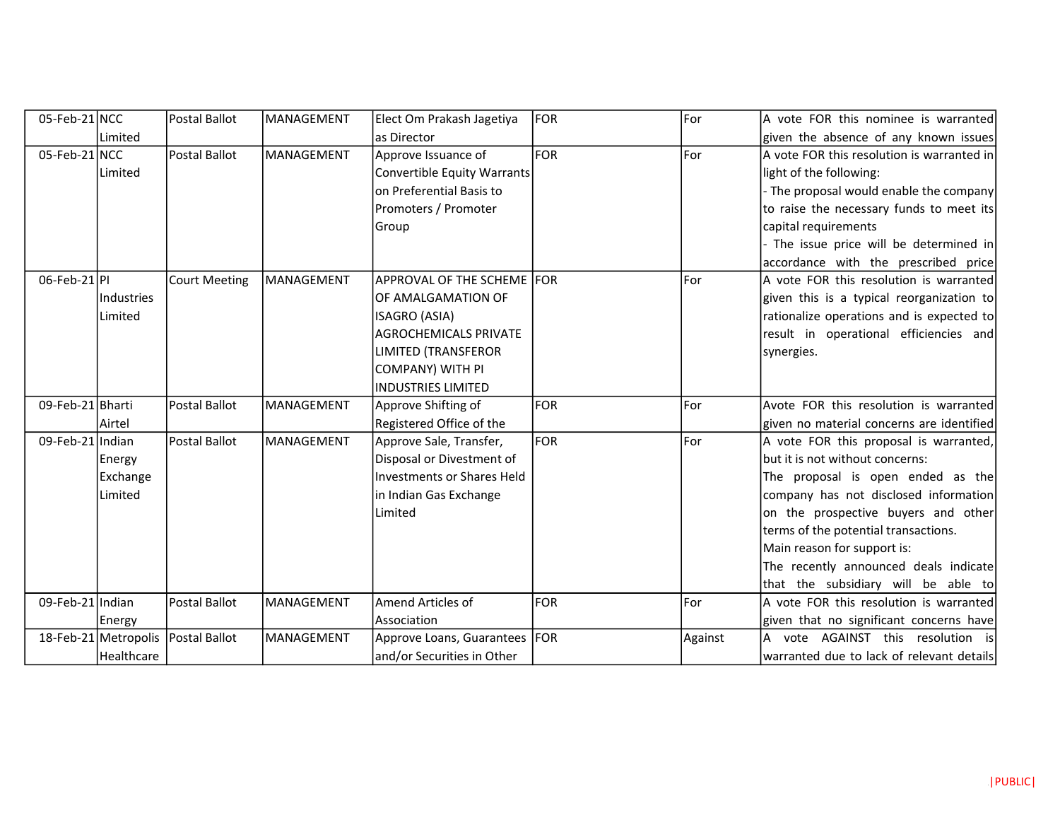| 05-Feb-21 NCC    |                      | Postal Ballot        | MANAGEMENT | Elect Om Prakash Jagetiya         | <b>FOR</b> | For     | A vote FOR this nominee is warranted       |
|------------------|----------------------|----------------------|------------|-----------------------------------|------------|---------|--------------------------------------------|
|                  | Limited              |                      |            | as Director                       |            |         | given the absence of any known issues      |
| $05$ -Feb-21 NCC |                      | Postal Ballot        | MANAGEMENT | Approve Issuance of               | <b>FOR</b> | For     | A vote FOR this resolution is warranted in |
|                  | Limited              |                      |            | Convertible Equity Warrants       |            |         | light of the following:                    |
|                  |                      |                      |            | on Preferential Basis to          |            |         | The proposal would enable the company      |
|                  |                      |                      |            | Promoters / Promoter              |            |         | to raise the necessary funds to meet its   |
|                  |                      |                      |            | Group                             |            |         | capital requirements                       |
|                  |                      |                      |            |                                   |            |         | The issue price will be determined in      |
|                  |                      |                      |            |                                   |            |         | accordance with the prescribed price       |
| 06-Feb-21 PI     |                      | <b>Court Meeting</b> | MANAGEMENT | APPROVAL OF THE SCHEME FOR        |            | For     | A vote FOR this resolution is warranted    |
|                  | Industries           |                      |            | OF AMALGAMATION OF                |            |         | given this is a typical reorganization to  |
|                  | Limited              |                      |            | ISAGRO (ASIA)                     |            |         | rationalize operations and is expected to  |
|                  |                      |                      |            | <b>AGROCHEMICALS PRIVATE</b>      |            |         | result in operational efficiencies and     |
|                  |                      |                      |            | LIMITED (TRANSFEROR               |            |         | synergies.                                 |
|                  |                      |                      |            | COMPANY) WITH PI                  |            |         |                                            |
|                  |                      |                      |            | <b>INDUSTRIES LIMITED</b>         |            |         |                                            |
| 09-Feb-21 Bharti |                      | <b>Postal Ballot</b> | MANAGEMENT | Approve Shifting of               | <b>FOR</b> | For     | Avote FOR this resolution is warranted     |
|                  | Airtel               |                      |            | Registered Office of the          |            |         | given no material concerns are identified  |
| 09-Feb-21 Indian |                      | Postal Ballot        | MANAGEMENT | Approve Sale, Transfer,           | <b>FOR</b> | For     | A vote FOR this proposal is warranted,     |
|                  | Energy               |                      |            | Disposal or Divestment of         |            |         | but it is not without concerns:            |
|                  | Exchange             |                      |            | <b>Investments or Shares Held</b> |            |         | The proposal is open ended as the          |
|                  | Limited              |                      |            | in Indian Gas Exchange            |            |         | company has not disclosed information      |
|                  |                      |                      |            | Limited                           |            |         | on the prospective buyers and other        |
|                  |                      |                      |            |                                   |            |         | terms of the potential transactions.       |
|                  |                      |                      |            |                                   |            |         | Main reason for support is:                |
|                  |                      |                      |            |                                   |            |         | The recently announced deals indicate      |
|                  |                      |                      |            |                                   |            |         | that the subsidiary will be able to        |
| 09-Feb-21 Indian |                      | Postal Ballot        | MANAGEMENT | Amend Articles of                 | <b>FOR</b> | For     | A vote FOR this resolution is warranted    |
|                  | Energy               |                      |            | Association                       |            |         | given that no significant concerns have    |
|                  | 18-Feb-21 Metropolis | Postal Ballot        | MANAGEMENT | Approve Loans, Guarantees   FOR   |            | Against | vote AGAINST this resolution is            |
|                  | Healthcare           |                      |            | and/or Securities in Other        |            |         | warranted due to lack of relevant details  |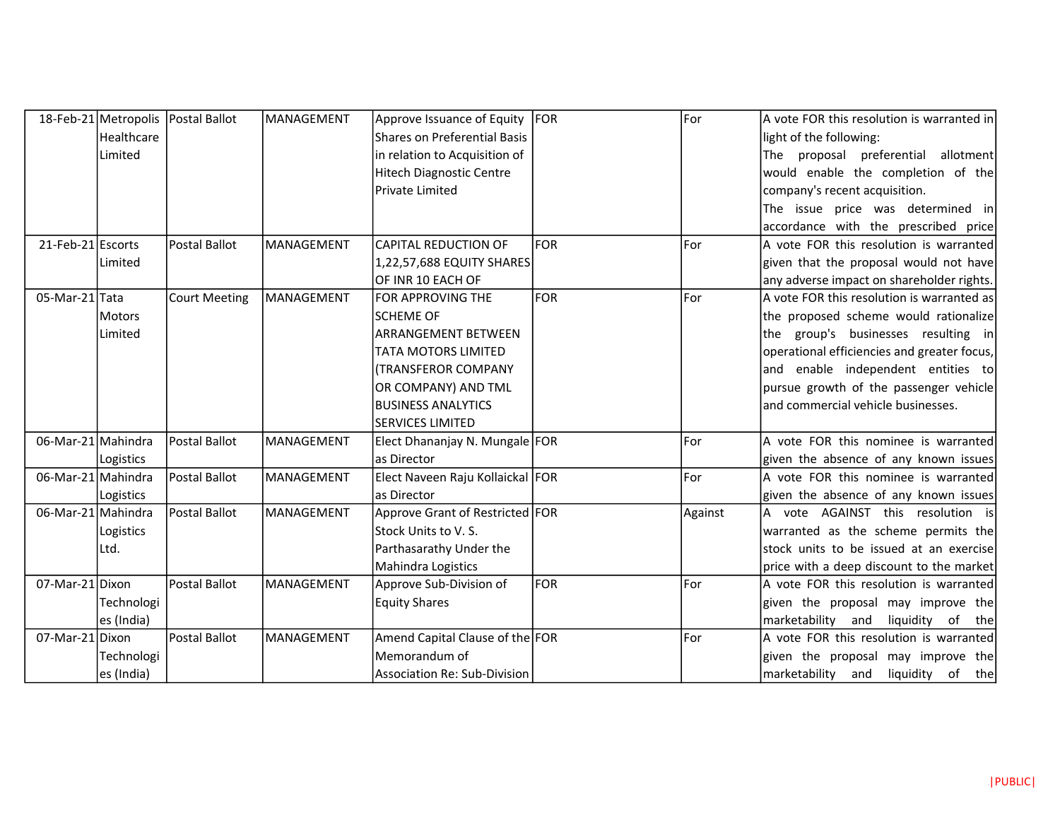|                    |                | 18-Feb-21 Metropolis Postal Ballot | MANAGEMENT | Approve Issuance of Equity          | FOR        | For     | A vote FOR this resolution is warranted in  |
|--------------------|----------------|------------------------------------|------------|-------------------------------------|------------|---------|---------------------------------------------|
|                    | Healthcare     |                                    |            | <b>Shares on Preferential Basis</b> |            |         | light of the following:                     |
|                    | Limited        |                                    |            | in relation to Acquisition of       |            |         | The proposal preferential allotment         |
|                    |                |                                    |            | <b>Hitech Diagnostic Centre</b>     |            |         | would enable the completion of the          |
|                    |                |                                    |            | <b>Private Limited</b>              |            |         | company's recent acquisition.               |
|                    |                |                                    |            |                                     |            |         | The issue price was determined in           |
|                    |                |                                    |            |                                     |            |         | accordance with the prescribed price        |
| 21-Feb-21 Escorts  |                | Postal Ballot                      | MANAGEMENT | <b>CAPITAL REDUCTION OF</b>         | lfor.      | For     | A vote FOR this resolution is warranted     |
|                    | Limited        |                                    |            | 1,22,57,688 EQUITY SHARES           |            |         | given that the proposal would not have      |
|                    |                |                                    |            | OF INR 10 EACH OF                   |            |         | any adverse impact on shareholder rights.   |
| 05-Mar-21 Tata     |                | <b>Court Meeting</b>               | MANAGEMENT | <b>FOR APPROVING THE</b>            | lfor.      | For     | A vote FOR this resolution is warranted as  |
|                    | <b>IMotors</b> |                                    |            | <b>SCHEME OF</b>                    |            |         | the proposed scheme would rationalize       |
|                    | Limited        |                                    |            | <b>ARRANGEMENT BETWEEN</b>          |            |         | the group's businesses resulting in         |
|                    |                |                                    |            | TATA MOTORS LIMITED                 |            |         | operational efficiencies and greater focus, |
|                    |                |                                    |            | <b>(TRANSFEROR COMPANY</b>          |            |         | and enable independent entities to          |
|                    |                |                                    |            | OR COMPANY) AND TML                 |            |         | pursue growth of the passenger vehicle      |
|                    |                |                                    |            | <b>BUSINESS ANALYTICS</b>           |            |         | and commercial vehicle businesses.          |
|                    |                |                                    |            | <b>SERVICES LIMITED</b>             |            |         |                                             |
| 06-Mar-21 Mahindra |                | Postal Ballot                      | MANAGEMENT | Elect Dhananjay N. Mungale FOR      |            | For     | A vote FOR this nominee is warranted        |
|                    | Logistics      |                                    |            | as Director                         |            |         | given the absence of any known issues       |
| 06-Mar-21 Mahindra |                | Postal Ballot                      | MANAGEMENT | Elect Naveen Raju Kollaickal FOR    |            | For     | A vote FOR this nominee is warranted        |
|                    | Logistics      |                                    |            | as Director                         |            |         | given the absence of any known issues       |
| 06-Mar-21 Mahindra |                | Postal Ballot                      | MANAGEMENT | Approve Grant of Restricted FOR     |            | Against | A vote AGAINST this resolution is           |
|                    | Logistics      |                                    |            | Stock Units to V. S.                |            |         | warranted as the scheme permits the         |
|                    | Ltd.           |                                    |            | Parthasarathy Under the             |            |         | stock units to be issued at an exercise     |
|                    |                |                                    |            | Mahindra Logistics                  |            |         | price with a deep discount to the market    |
| 07-Mar-21 Dixon    |                | Postal Ballot                      | MANAGEMENT | Approve Sub-Division of             | <b>FOR</b> | For     | A vote FOR this resolution is warranted     |
|                    | Technologi     |                                    |            | <b>Equity Shares</b>                |            |         | given the proposal may improve the          |
|                    | es (India)     |                                    |            |                                     |            |         | marketability and<br>liquidity of the       |
| 07-Mar-21 Dixon    |                | Postal Ballot                      | MANAGEMENT | Amend Capital Clause of the FOR     |            | For     | A vote FOR this resolution is warranted     |
|                    | Technologi     |                                    |            | Memorandum of                       |            |         | given the proposal may improve the          |
|                    | es (India)     |                                    |            | <b>Association Re: Sub-Division</b> |            |         | marketability and liquidity of the          |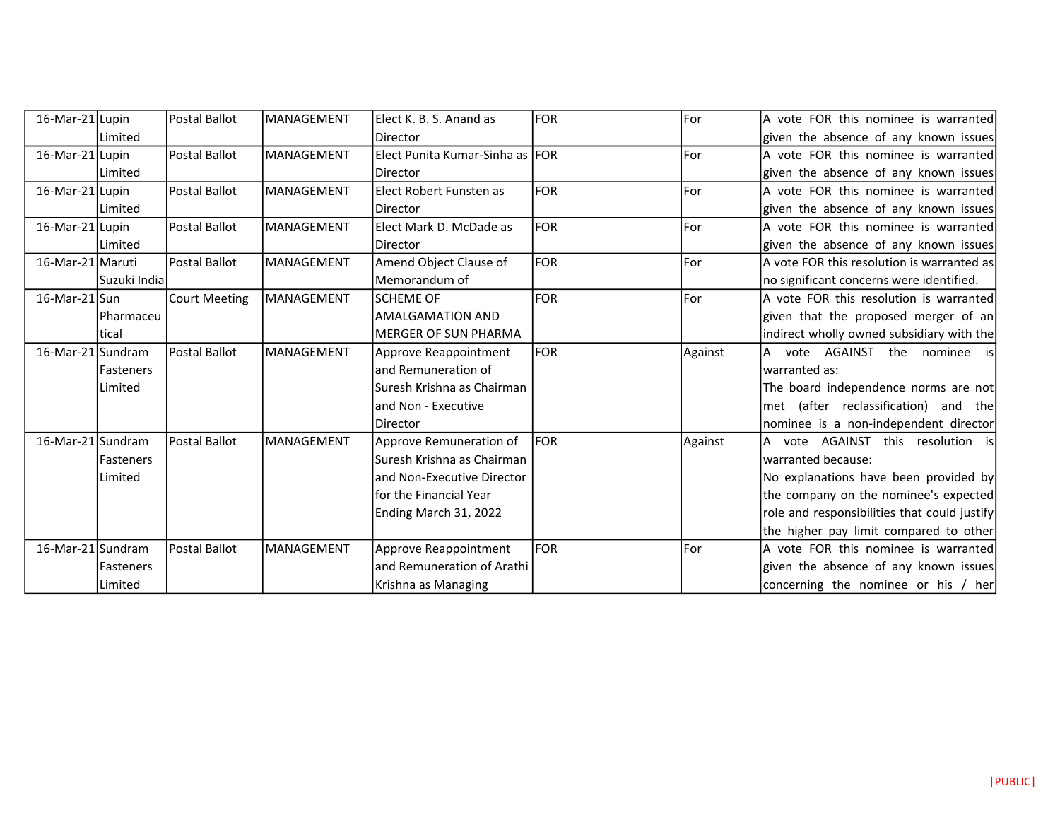| 16-Mar-21 Lupin           |                  | Postal Ballot        | lMANAGEMENT       | Elect K. B. S. Anand as         | <b>FOR</b> | For     | A vote FOR this nominee is warranted         |
|---------------------------|------------------|----------------------|-------------------|---------------------------------|------------|---------|----------------------------------------------|
|                           | Limited          |                      |                   | Director                        |            |         | given the absence of any known issues        |
| 16-Mar-21 Lupin           |                  | Postal Ballot        | <b>MANAGEMENT</b> | Elect Punita Kumar-Sinha as FOR |            | For     | A vote FOR this nominee is warranted         |
|                           | l Limited        |                      |                   | Director                        |            |         | given the absence of any known issues        |
| 16-Mar-21 Lupin           |                  | Postal Ballot        | <b>MANAGEMENT</b> | Elect Robert Funsten as         | <b>FOR</b> | For     | A vote FOR this nominee is warranted         |
|                           | l Limited        |                      |                   | Director                        |            |         | given the absence of any known issues        |
| 16-Mar-21 Lupin           |                  | <b>Postal Ballot</b> | <b>MANAGEMENT</b> | Elect Mark D. McDade as         | <b>FOR</b> | For     | A vote FOR this nominee is warranted         |
|                           | Limited          |                      |                   | <b>Director</b>                 |            |         | given the absence of any known issues        |
| 16-Mar-21 Maruti          |                  | Postal Ballot        | MANAGEMENT        | Amend Object Clause of          | FOR        | For     | A vote FOR this resolution is warranted as   |
|                           | Suzuki Indial    |                      |                   | Memorandum of                   |            |         | no significant concerns were identified.     |
| $16$ -Mar-21 $\text{Sun}$ |                  | <b>Court Meeting</b> | <b>MANAGEMENT</b> | <b>SCHEME OF</b>                | FOR        | For     | A vote FOR this resolution is warranted      |
|                           | <b>Pharmaceu</b> |                      |                   | <b>AMALGAMATION AND</b>         |            |         | given that the proposed merger of an         |
|                           | ltical           |                      |                   | <b>MERGER OF SUN PHARMA</b>     |            |         | indirect wholly owned subsidiary with the    |
| 16-Mar-21 Sundram         |                  | Postal Ballot        | MANAGEMENT        | Approve Reappointment           | FOR        | Against | A vote AGAINST the nominee is                |
|                           | Fasteners        |                      |                   | and Remuneration of             |            |         | warranted as:                                |
|                           | Limited          |                      |                   | Suresh Krishna as Chairman      |            |         | The board independence norms are not         |
|                           |                  |                      |                   | and Non - Executive             |            |         | met (after reclassification) and the         |
|                           |                  |                      |                   | Director                        |            |         | nominee is a non-independent director        |
| 16-Mar-21 Sundram         |                  | Postal Ballot        | MANAGEMENT        | Approve Remuneration of         | FOR        | Against | A vote AGAINST this resolution is            |
|                           | <b>Fasteners</b> |                      |                   | Suresh Krishna as Chairman      |            |         | warranted because:                           |
|                           | Limited          |                      |                   | and Non-Executive Director      |            |         | No explanations have been provided by        |
|                           |                  |                      |                   | for the Financial Year          |            |         | the company on the nominee's expected        |
|                           |                  |                      |                   | Ending March 31, 2022           |            |         | role and responsibilities that could justify |
|                           |                  |                      |                   |                                 |            |         | the higher pay limit compared to other       |
| 16-Mar-21 Sundram         |                  | <b>Postal Ballot</b> | <b>MANAGEMENT</b> | Approve Reappointment           | <b>FOR</b> | For     | A vote FOR this nominee is warranted         |
|                           | <b>Fasteners</b> |                      |                   | and Remuneration of Arathi      |            |         | given the absence of any known issues        |
|                           | Limited          |                      |                   | Krishna as Managing             |            |         | concerning the nominee or his / her          |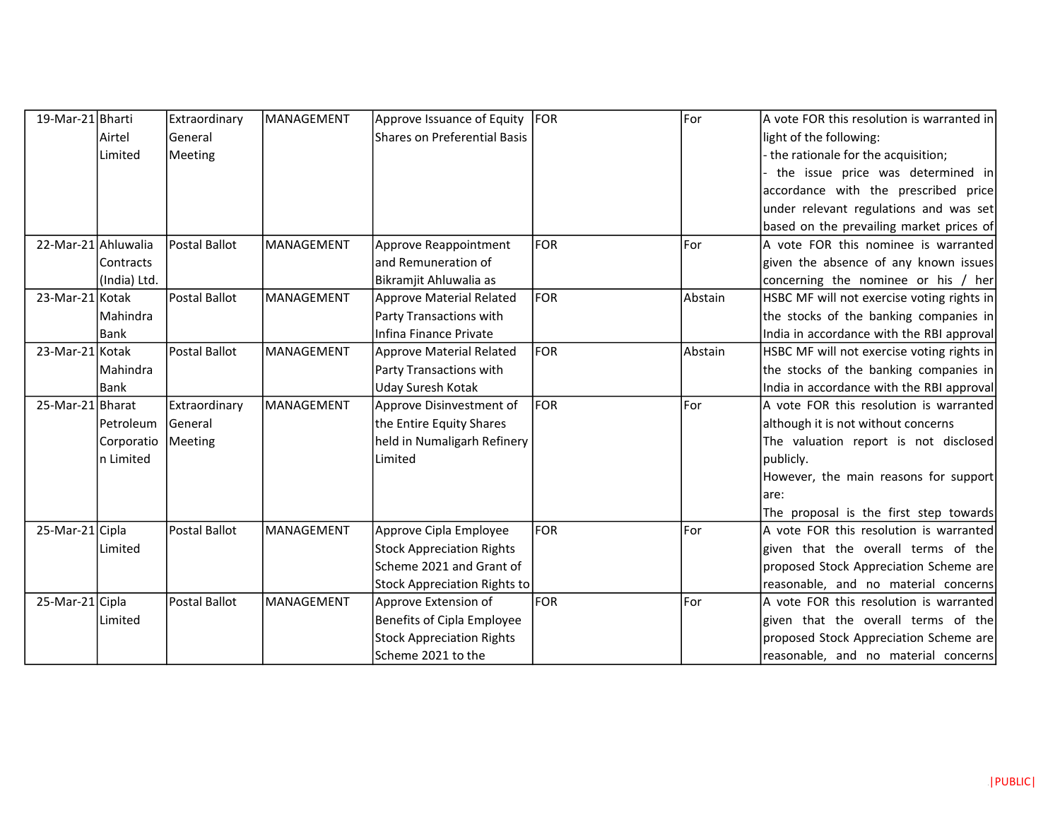| 19-Mar-21 Bharti    |              | Extraordinary | MANAGEMENT | Approve Issuance of Equity       | FOR        | For     | A vote FOR this resolution is warranted in |
|---------------------|--------------|---------------|------------|----------------------------------|------------|---------|--------------------------------------------|
|                     | Airtel       | General       |            | Shares on Preferential Basis     |            |         | light of the following:                    |
|                     | Limited      | Meeting       |            |                                  |            |         | the rationale for the acquisition;         |
|                     |              |               |            |                                  |            |         | the issue price was determined in          |
|                     |              |               |            |                                  |            |         | accordance with the prescribed price       |
|                     |              |               |            |                                  |            |         | under relevant regulations and was set     |
|                     |              |               |            |                                  |            |         | based on the prevailing market prices of   |
| 22-Mar-21 Ahluwalia |              | Postal Ballot | MANAGEMENT | Approve Reappointment            | <b>FOR</b> | For     | A vote FOR this nominee is warranted       |
|                     | Contracts    |               |            | and Remuneration of              |            |         | given the absence of any known issues      |
|                     | (India) Ltd. |               |            | Bikramjit Ahluwalia as           |            |         | concerning the nominee or his / her        |
| 23-Mar-21 Kotak     |              | Postal Ballot | MANAGEMENT | Approve Material Related         | FOR        | Abstain | HSBC MF will not exercise voting rights in |
|                     | Mahindra     |               |            | Party Transactions with          |            |         | the stocks of the banking companies in     |
|                     | <b>Bank</b>  |               |            | Infina Finance Private           |            |         | India in accordance with the RBI approval  |
| 23-Mar-21 Kotak     |              | Postal Ballot | MANAGEMENT | <b>Approve Material Related</b>  | FOR        | Abstain | HSBC MF will not exercise voting rights in |
|                     | Mahindra     |               |            | Party Transactions with          |            |         | the stocks of the banking companies in     |
|                     | Bank         |               |            | Uday Suresh Kotak                |            |         | India in accordance with the RBI approval  |
| 25-Mar-21 Bharat    |              | Extraordinary | MANAGEMENT | Approve Disinvestment of         | FOR        | For     | A vote FOR this resolution is warranted    |
|                     | Petroleum    | General       |            | the Entire Equity Shares         |            |         | although it is not without concerns        |
|                     | Corporatio   | Meeting       |            | held in Numaligarh Refinery      |            |         | The valuation report is not disclosed      |
|                     | n Limited    |               |            | Limited                          |            |         | publicly.                                  |
|                     |              |               |            |                                  |            |         | However, the main reasons for support      |
|                     |              |               |            |                                  |            |         | lare:                                      |
|                     |              |               |            |                                  |            |         | The proposal is the first step towards     |
| 25-Mar-21 Cipla     |              | Postal Ballot | MANAGEMENT | Approve Cipla Employee           | <b>FOR</b> | For     | A vote FOR this resolution is warranted    |
|                     | Limited      |               |            | <b>Stock Appreciation Rights</b> |            |         | given that the overall terms of the        |
|                     |              |               |            | Scheme 2021 and Grant of         |            |         | proposed Stock Appreciation Scheme are     |
|                     |              |               |            | Stock Appreciation Rights to     |            |         | reasonable, and no material concerns       |
| 25-Mar-21 Cipla     |              | Postal Ballot | MANAGEMENT | Approve Extension of             | FOR        | For     | A vote FOR this resolution is warranted    |
|                     | Limited      |               |            | Benefits of Cipla Employee       |            |         | given that the overall terms of the        |
|                     |              |               |            | <b>Stock Appreciation Rights</b> |            |         | proposed Stock Appreciation Scheme are     |
|                     |              |               |            | Scheme 2021 to the               |            |         | reasonable, and no material concerns       |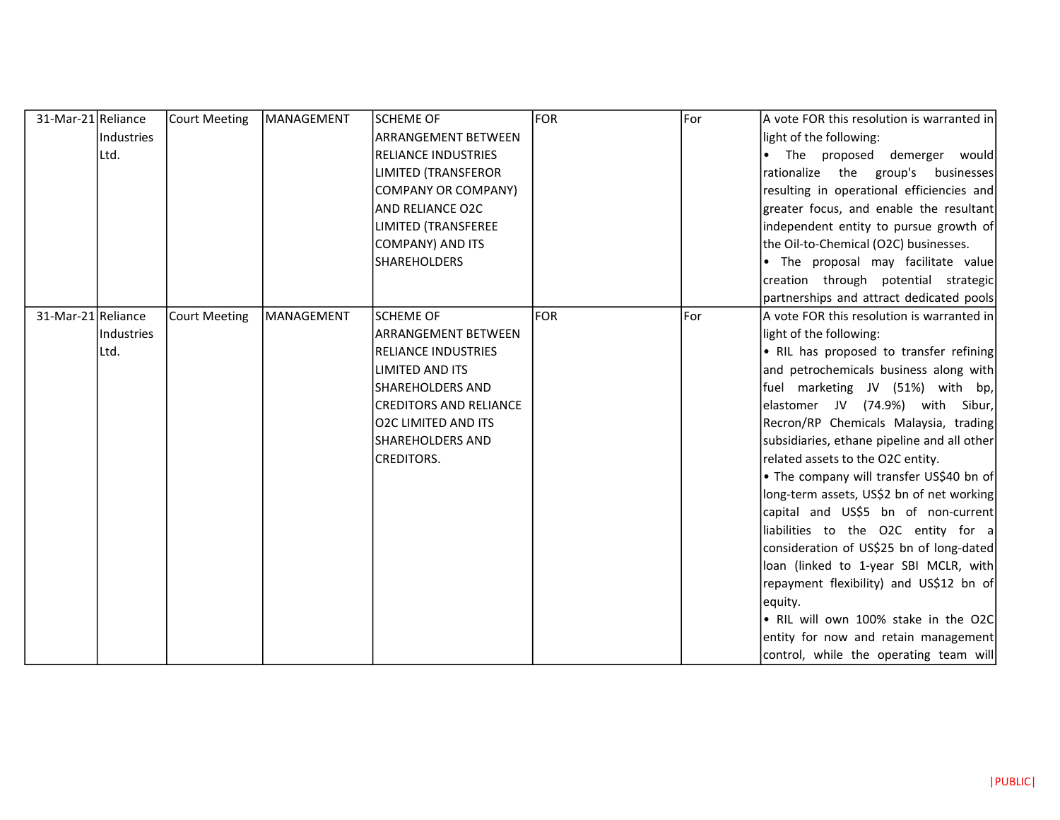| 31-Mar-21 Reliance |            | <b>Court Meeting</b> | MANAGEMENT        | <b>SCHEME OF</b>              | <b>FOR</b> | For   | A vote FOR this resolution is warranted in  |
|--------------------|------------|----------------------|-------------------|-------------------------------|------------|-------|---------------------------------------------|
|                    | Industries |                      |                   | <b>ARRANGEMENT BETWEEN</b>    |            |       | light of the following:                     |
|                    | Ltd.       |                      |                   | <b>RELIANCE INDUSTRIES</b>    |            |       | The proposed demerger would                 |
|                    |            |                      |                   | <b>LIMITED (TRANSFEROR</b>    |            |       | rationalize the group's businesses          |
|                    |            |                      |                   | COMPANY OR COMPANY)           |            |       | resulting in operational efficiencies and   |
|                    |            |                      |                   | AND RELIANCE O2C              |            |       | greater focus, and enable the resultant     |
|                    |            |                      |                   | <b>LIMITED (TRANSFEREE</b>    |            |       | independent entity to pursue growth of      |
|                    |            |                      |                   | <b>COMPANY) AND ITS</b>       |            |       | the Oil-to-Chemical (O2C) businesses.       |
|                    |            |                      |                   | <b>SHAREHOLDERS</b>           |            |       | . The proposal may facilitate value         |
|                    |            |                      |                   |                               |            |       | creation through potential strategic        |
|                    |            |                      |                   |                               |            |       | partnerships and attract dedicated pools    |
| 31-Mar-21 Reliance |            | <b>Court Meeting</b> | <b>MANAGEMENT</b> | <b>SCHEME OF</b>              | <b>FOR</b> | lFor. | A vote FOR this resolution is warranted in  |
|                    | Industries |                      |                   | <b>ARRANGEMENT BETWEEN</b>    |            |       | light of the following:                     |
|                    | Ltd.       |                      |                   | <b>RELIANCE INDUSTRIES</b>    |            |       | • RIL has proposed to transfer refining     |
|                    |            |                      |                   | LIMITED AND ITS               |            |       | and petrochemicals business along with      |
|                    |            |                      |                   | <b>SHAREHOLDERS AND</b>       |            |       | fuel marketing JV (51%) with bp,            |
|                    |            |                      |                   | <b>CREDITORS AND RELIANCE</b> |            |       | elastomer JV (74.9%) with Sibur,            |
|                    |            |                      |                   | <b>O2C LIMITED AND ITS</b>    |            |       | Recron/RP Chemicals Malaysia, trading       |
|                    |            |                      |                   | <b>SHAREHOLDERS AND</b>       |            |       | subsidiaries, ethane pipeline and all other |
|                    |            |                      |                   | <b>CREDITORS.</b>             |            |       | related assets to the O2C entity.           |
|                    |            |                      |                   |                               |            |       | • The company will transfer US\$40 bn of    |
|                    |            |                      |                   |                               |            |       | long-term assets, US\$2 bn of net working   |
|                    |            |                      |                   |                               |            |       | capital and US\$5 bn of non-current         |
|                    |            |                      |                   |                               |            |       | liabilities to the O2C entity for a         |
|                    |            |                      |                   |                               |            |       | consideration of US\$25 bn of long-dated    |
|                    |            |                      |                   |                               |            |       | loan (linked to 1-year SBI MCLR, with       |
|                    |            |                      |                   |                               |            |       | repayment flexibility) and US\$12 bn of     |
|                    |            |                      |                   |                               |            |       | equity.                                     |
|                    |            |                      |                   |                               |            |       | . RIL will own 100% stake in the O2C        |
|                    |            |                      |                   |                               |            |       | entity for now and retain management        |
|                    |            |                      |                   |                               |            |       | control, while the operating team will      |